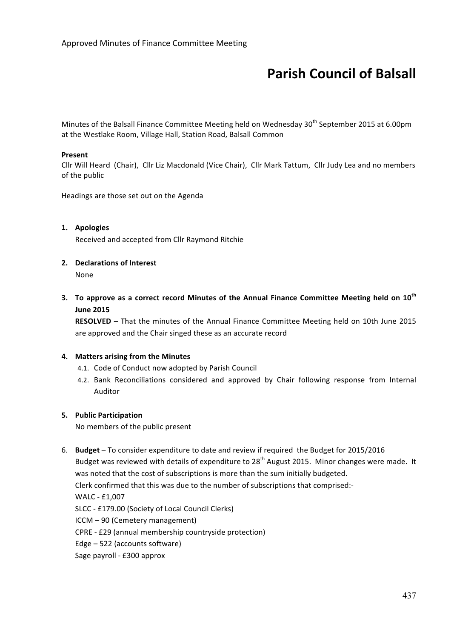# **Parish Council of Balsall**

Minutes of the Balsall Finance Committee Meeting held on Wednesday 30<sup>th</sup> September 2015 at 6.00pm at the Westlake Room, Village Hall, Station Road, Balsall Common

## **Present**

Cllr Will Heard (Chair), Cllr Liz Macdonald (Vice Chair), Cllr Mark Tattum, Cllr Judy Lea and no members of the public

Headings are those set out on the Agenda

## **1. Apologies**

Received and accepted from Cllr Raymond Ritchie

## **2. Declarations of Interest**

None

**3.** To approve as a correct record Minutes of the Annual Finance Committee Meeting held on 10<sup>th</sup> **June 2015**

**RESOLVED** – That the minutes of the Annual Finance Committee Meeting held on 10th June 2015 are approved and the Chair singed these as an accurate record

## **4. Matters arising from the Minutes**

- 4.1. Code of Conduct now adopted by Parish Council
- 4.2. Bank Reconciliations considered and approved by Chair following response from Internal Auditor

## **5. Public Participation**

No members of the public present

6. **Budget** – To consider expenditure to date and review if required the Budget for 2015/2016

Budget was reviewed with details of expenditure to 28<sup>th</sup> August 2015. Minor changes were made. It was noted that the cost of subscriptions is more than the sum initially budgeted.

Clerk confirmed that this was due to the number of subscriptions that comprised:-

WALC - £1,007

SLCC - £179.00 (Society of Local Council Clerks)

ICCM - 90 (Cemetery management)

CPRE - £29 (annual membership countryside protection)

Edge - 522 (accounts software)

Sage payroll - £300 approx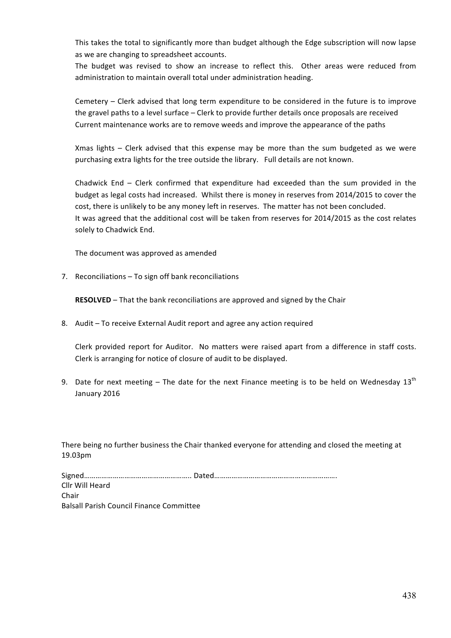This takes the total to significantly more than budget although the Edge subscription will now lapse as we are changing to spreadsheet accounts.

The budget was revised to show an increase to reflect this. Other areas were reduced from administration to maintain overall total under administration heading.

Cemetery – Clerk advised that long term expenditure to be considered in the future is to improve the gravel paths to a level surface – Clerk to provide further details once proposals are received Current maintenance works are to remove weeds and improve the appearance of the paths

Xmas lights – Clerk advised that this expense may be more than the sum budgeted as we were purchasing extra lights for the tree outside the library. Full details are not known.

Chadwick  $End -$  Clerk confirmed that expenditure had exceeded than the sum provided in the budget as legal costs had increased. Whilst there is money in reserves from 2014/2015 to cover the cost, there is unlikely to be any money left in reserves. The matter has not been concluded. It was agreed that the additional cost will be taken from reserves for 2014/2015 as the cost relates solely to Chadwick End.

The document was approved as amended

7. Reconciliations - To sign off bank reconciliations

**RESOLVED** – That the bank reconciliations are approved and signed by the Chair

8. Audit – To receive External Audit report and agree any action required

Clerk provided report for Auditor. No matters were raised apart from a difference in staff costs. Clerk is arranging for notice of closure of audit to be displayed.

9. Date for next meeting  $-$  The date for the next Finance meeting is to be held on Wednesday 13<sup>th</sup> January 2016

There being no further business the Chair thanked everyone for attending and closed the meeting at 19.03pm

| Cllr Will Heard                                 |  |
|-------------------------------------------------|--|
| Chair                                           |  |
| <b>Balsall Parish Council Finance Committee</b> |  |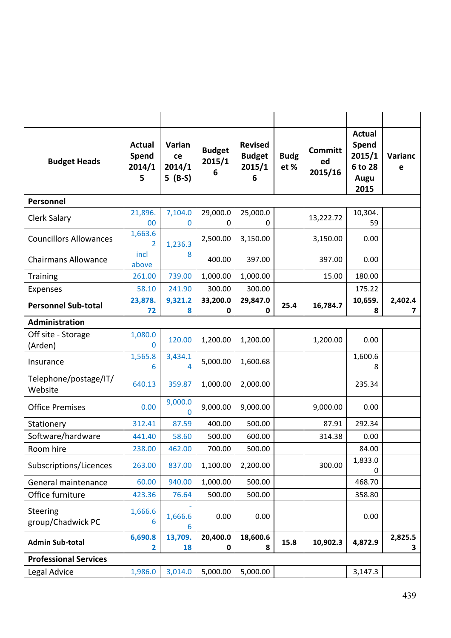| <b>Budget Heads</b>              | <b>Actual</b><br><b>Spend</b><br>2014/1<br>5 | Varian<br>ce<br>2014/1<br>$5 (B-S)$ | <b>Budget</b><br>2015/1<br>6 | <b>Revised</b><br><b>Budget</b><br>2015/1<br>6 | <b>Budg</b><br>et % | <b>Committ</b><br>ed<br>2015/16 | <b>Actual</b><br><b>Spend</b><br>2015/1<br>6 to 28<br>Augu<br>2015 | Varianc<br>e |
|----------------------------------|----------------------------------------------|-------------------------------------|------------------------------|------------------------------------------------|---------------------|---------------------------------|--------------------------------------------------------------------|--------------|
| Personnel                        |                                              |                                     |                              |                                                |                     |                                 |                                                                    |              |
| <b>Clerk Salary</b>              | 21,896.<br>00                                | 7,104.0<br>0                        | 29,000.0<br>0                | 25,000.0<br>0                                  |                     | 13,222.72                       | 10,304.<br>59                                                      |              |
| <b>Councillors Allowances</b>    | 1,663.6<br>2                                 | 1,236.3                             | 2,500.00                     | 3,150.00                                       |                     | 3,150.00                        | 0.00                                                               |              |
| <b>Chairmans Allowance</b>       | incl<br>above                                | 8                                   | 400.00                       | 397.00                                         |                     | 397.00                          | 0.00                                                               |              |
| <b>Training</b>                  | 261.00                                       | 739.00                              | 1,000.00                     | 1,000.00                                       |                     | 15.00                           | 180.00                                                             |              |
| Expenses                         | 58.10                                        | 241.90                              | 300.00                       | 300.00                                         |                     |                                 | 175.22                                                             |              |
| <b>Personnel Sub-total</b>       | 23,878.<br>72                                | 9,321.2<br>8                        | 33,200.0<br>0                | 29,847.0<br>0                                  | 25.4                | 16,784.7                        | 10,659.<br>8                                                       | 2,402.4<br>7 |
| <b>Administration</b>            |                                              |                                     |                              |                                                |                     |                                 |                                                                    |              |
| Off site - Storage<br>(Arden)    | 1,080.0<br>$\mathbf{0}$                      | 120.00                              | 1,200.00                     | 1,200.00                                       |                     | 1,200.00                        | 0.00                                                               |              |
| Insurance                        | 1,565.8<br>6                                 | 3,434.1<br>4                        | 5,000.00                     | 1,600.68                                       |                     |                                 | 1,600.6<br>8                                                       |              |
| Telephone/postage/IT/<br>Website | 640.13                                       | 359.87                              | 1,000.00                     | 2,000.00                                       |                     |                                 | 235.34                                                             |              |
| <b>Office Premises</b>           | 0.00                                         | 9,000.0<br>0                        | 9,000.00                     | 9,000.00                                       |                     | 9,000.00                        | 0.00                                                               |              |
| Stationery                       | 312.41                                       | 87.59                               | 400.00                       | 500.00                                         |                     | 87.91                           | 292.34                                                             |              |
| Software/hardware                | 441.40                                       | 58.60                               | 500.00                       | 600.00                                         |                     | 314.38                          | 0.00                                                               |              |
| Room hire                        | 238.00                                       | 462.00                              | 700.00                       | 500.00                                         |                     |                                 | 84.00                                                              |              |
| Subscriptions/Licences           | 263.00                                       | 837.00                              | 1,100.00                     | 2,200.00                                       |                     | 300.00                          | 1,833.0<br>0                                                       |              |
| General maintenance              | 60.00                                        | 940.00                              | 1,000.00                     | 500.00                                         |                     |                                 | 468.70                                                             |              |
| Office furniture                 | 423.36                                       | 76.64                               | 500.00                       | 500.00                                         |                     |                                 | 358.80                                                             |              |
| Steering<br>group/Chadwick PC    | 1,666.6<br>6                                 | 1,666.6<br>6                        | 0.00                         | 0.00                                           |                     |                                 | 0.00                                                               |              |
| <b>Admin Sub-total</b>           | 6,690.8<br>2                                 | 13,709.<br>18                       | 20,400.0<br>0                | 18,600.6<br>8                                  | 15.8                | 10,902.3                        | 4,872.9                                                            | 2,825.5<br>3 |
| <b>Professional Services</b>     |                                              |                                     |                              |                                                |                     |                                 |                                                                    |              |
| Legal Advice                     | 1,986.0                                      | 3,014.0                             | 5,000.00                     | 5,000.00                                       |                     |                                 | 3,147.3                                                            |              |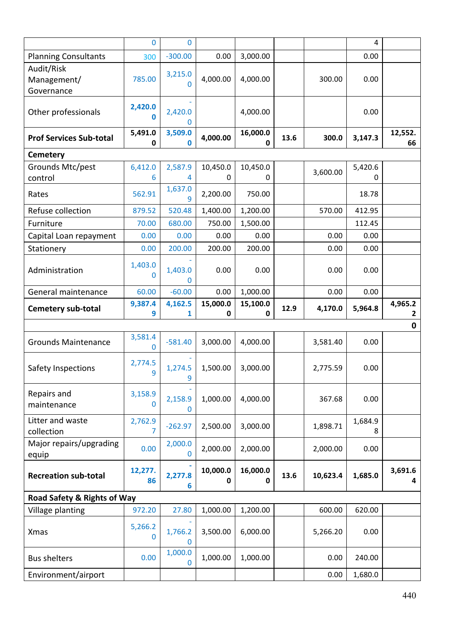|                                  | $\bf{0}$                     | $\mathbf 0$             |               |               |      |          | $\overline{4}$ |               |
|----------------------------------|------------------------------|-------------------------|---------------|---------------|------|----------|----------------|---------------|
| <b>Planning Consultants</b>      | 300                          | $-300.00$               | 0.00          | 3,000.00      |      |          | 0.00           |               |
| Audit/Risk                       |                              |                         |               |               |      |          |                |               |
| Management/                      | 785.00                       | 3,215.0<br>$\Omega$     | 4,000.00      | 4,000.00      |      | 300.00   | 0.00           |               |
| Governance                       |                              |                         |               |               |      |          |                |               |
| Other professionals              | 2,420.0<br>$\bf{0}$          | 2,420.0<br>0            |               | 4,000.00      |      |          | 0.00           |               |
| <b>Prof Services Sub-total</b>   | 5,491.0<br>0                 | 3,509.0<br>$\bf{0}$     | 4,000.00      | 16,000.0<br>0 | 13.6 | 300.0    | 3,147.3        | 12,552.<br>66 |
| <b>Cemetery</b>                  |                              |                         |               |               |      |          |                |               |
| Grounds Mtc/pest                 | 6,412.0                      | 2,587.9                 | 10,450.0      | 10,450.0      |      | 3,600.00 | 5,420.6        |               |
| control                          | 6                            | 4                       | 0             | 0             |      |          | 0              |               |
| Rates                            | 562.91                       | 1,637.0<br>9            | 2,200.00      | 750.00        |      |          | 18.78          |               |
| Refuse collection                | 879.52                       | 520.48                  | 1,400.00      | 1,200.00      |      | 570.00   | 412.95         |               |
| Furniture                        | 70.00                        | 680.00                  | 750.00        | 1,500.00      |      |          | 112.45         |               |
| Capital Loan repayment           | 0.00                         | 0.00                    | 0.00          | 0.00          |      | 0.00     | 0.00           |               |
| Stationery                       | 0.00                         | 200.00                  | 200.00        | 200.00        |      | 0.00     | 0.00           |               |
| Administration                   | 1,403.0<br>$\mathbf{0}$      | 1,403.0<br>0            | 0.00          | 0.00          |      | 0.00     | 0.00           |               |
| General maintenance              | 60.00                        | $-60.00$                | 0.00          | 1,000.00      |      | 0.00     | 0.00           |               |
|                                  |                              |                         |               |               |      |          |                |               |
|                                  | 9,387.4                      | 4,162.5                 | 15,000.0      | 15,100.0      |      |          |                | 4,965.2       |
| <b>Cemetery sub-total</b>        | 9                            | 1                       | 0             | 0             | 12.9 | 4,170.0  | 5,964.8        | 2             |
| <b>Grounds Maintenance</b>       | 3,581.4                      | $-581.40$               | 3,000.00      | 4,000.00      |      | 3,581.40 | 0.00           | $\bf{0}$      |
| Safety Inspections               | $\mathbf{0}$<br>2,774.5<br>9 | 1,274.5<br>9            | 1,500.00      | 3,000.00      |      | 2,775.59 | 0.00           |               |
| Repairs and<br>maintenance       | 3,158.9<br>0                 | 2,158.9<br>$\mathbf 0$  | 1,000.00      | 4,000.00      |      | 367.68   | 0.00           |               |
| Litter and waste<br>collection   | 2,762.9<br>7                 | $-262.97$               | 2,500.00      | 3,000.00      |      | 1,898.71 | 1,684.9<br>8   |               |
| Major repairs/upgrading<br>equip | 0.00                         | 2,000.0<br>$\mathbf 0$  | 2,000.00      | 2,000.00      |      | 2,000.00 | 0.00           |               |
| <b>Recreation sub-total</b>      | 12,277.<br>86                | 2,277.8<br>6            | 10,000.0<br>0 | 16,000.0<br>0 | 13.6 | 10,623.4 | 1,685.0        | 3,691.6<br>4  |
| Road Safety & Rights of Way      |                              |                         |               |               |      |          |                |               |
| Village planting                 | 972.20                       | 27.80                   | 1,000.00      | 1,200.00      |      | 600.00   | 620.00         |               |
| <b>Xmas</b>                      | 5,266.2<br>$\mathbf 0$       | 1,766.2<br>0            | 3,500.00      | 6,000.00      |      | 5,266.20 | 0.00           |               |
| <b>Bus shelters</b>              | 0.00                         | 1,000.0<br>$\mathbf{0}$ | 1,000.00      | 1,000.00      |      | 0.00     | 240.00         |               |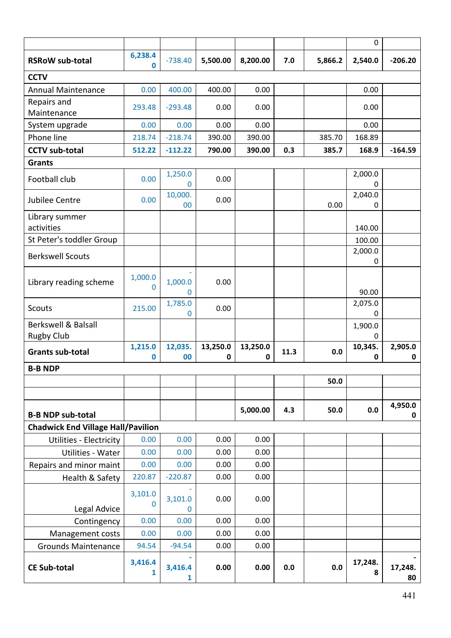|                                                                       |              |                         |               |               |      |         | $\boldsymbol{0}$ |               |
|-----------------------------------------------------------------------|--------------|-------------------------|---------------|---------------|------|---------|------------------|---------------|
| <b>RSRoW sub-total</b>                                                | 6,238.4<br>0 | $-738.40$               | 5,500.00      | 8,200.00      | 7.0  | 5,866.2 | 2,540.0          | $-206.20$     |
| <b>CCTV</b>                                                           |              |                         |               |               |      |         |                  |               |
| <b>Annual Maintenance</b>                                             | 0.00         | 400.00                  | 400.00        | 0.00          |      |         | 0.00             |               |
| Repairs and                                                           | 293.48       | $-293.48$               | 0.00          | 0.00          |      |         | 0.00             |               |
| Maintenance                                                           |              |                         |               |               |      |         |                  |               |
| System upgrade                                                        | 0.00         | 0.00                    | 0.00          | 0.00          |      |         | 0.00             |               |
| Phone line                                                            | 218.74       | $-218.74$               | 390.00        | 390.00        |      | 385.70  | 168.89           |               |
| <b>CCTV sub-total</b>                                                 | 512.22       | $-112.22$               | 790.00        | 390.00        | 0.3  | 385.7   | 168.9            | $-164.59$     |
| <b>Grants</b>                                                         |              |                         |               |               |      |         |                  |               |
| Football club                                                         | 0.00         | 1,250.0<br>$\mathbf{0}$ | 0.00          |               |      |         | 2,000.0<br>0     |               |
| Jubilee Centre                                                        | 0.00         | 10,000.                 | 0.00          |               |      |         | 2,040.0          |               |
|                                                                       |              | 00                      |               |               |      | 0.00    | 0                |               |
| Library summer                                                        |              |                         |               |               |      |         |                  |               |
| activities                                                            |              |                         |               |               |      |         | 140.00           |               |
| St Peter's toddler Group                                              |              |                         |               |               |      |         | 100.00           |               |
| <b>Berkswell Scouts</b>                                               |              |                         |               |               |      |         | 2,000.0<br>0     |               |
|                                                                       | 1,000.0      |                         |               |               |      |         |                  |               |
| Library reading scheme                                                | 0            | 1,000.0                 | 0.00          |               |      |         |                  |               |
|                                                                       |              | 0                       |               |               |      |         | 90.00            |               |
| <b>Scouts</b>                                                         | 215.00       | 1,785.0<br>0            | 0.00          |               |      |         | 2,075.0<br>0     |               |
| <b>Berkswell &amp; Balsall</b>                                        |              |                         |               |               |      |         | 1,900.0          |               |
| <b>Rugby Club</b>                                                     |              |                         |               |               |      |         | $\Omega$         |               |
| <b>Grants sub-total</b>                                               | 1,215.0<br>0 | 12,035.<br>00           | 13,250.0<br>0 | 13,250.0<br>0 | 11.3 | 0.0     | 10,345.<br>0     | 2,905.0<br>0  |
| <b>B-B NDP</b>                                                        |              |                         |               |               |      |         |                  |               |
|                                                                       |              |                         |               |               |      | 50.0    |                  |               |
|                                                                       |              |                         |               |               |      |         |                  |               |
|                                                                       |              |                         |               | 5,000.00      | 4.3  | 50.0    | 0.0              | 4,950.0       |
| <b>B-B NDP sub-total</b><br><b>Chadwick End Village Hall/Pavilion</b> |              |                         |               |               |      |         |                  | 0             |
| <b>Utilities - Electricity</b>                                        | 0.00         | 0.00                    | 0.00          | 0.00          |      |         |                  |               |
| Utilities - Water                                                     | 0.00         | 0.00                    | 0.00          | 0.00          |      |         |                  |               |
| Repairs and minor maint                                               | 0.00         | 0.00                    | 0.00          | 0.00          |      |         |                  |               |
| Health & Safety                                                       | 220.87       | $-220.87$               | 0.00          | 0.00          |      |         |                  |               |
|                                                                       |              |                         |               |               |      |         |                  |               |
|                                                                       | 3,101.0<br>0 | 3,101.0                 | 0.00          | 0.00          |      |         |                  |               |
| Legal Advice                                                          |              | 0                       |               |               |      |         |                  |               |
| Contingency                                                           | 0.00         | 0.00                    | 0.00          | 0.00          |      |         |                  |               |
| Management costs                                                      | 0.00         | 0.00                    | 0.00          | 0.00          |      |         |                  |               |
| <b>Grounds Maintenance</b>                                            | 94.54        | $-94.54$                | 0.00          | 0.00          |      |         |                  |               |
| <b>CE Sub-total</b>                                                   | 3,416.4<br>1 | 3,416.4<br>1            | 0.00          | 0.00          | 0.0  | 0.0     | 17,248.<br>8     | 17,248.<br>80 |